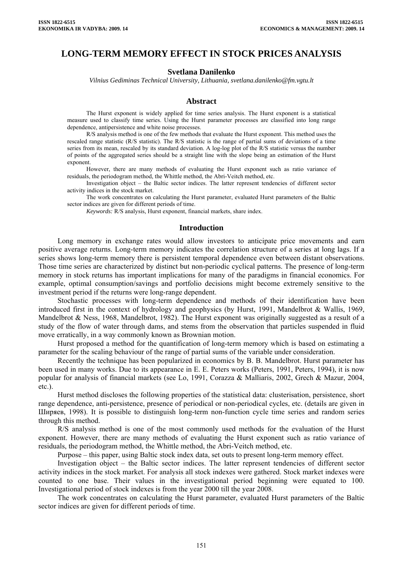# **LONG-TERM MEMORY EFFECT IN STOCK PRICES ANALYSIS**

### **Svetlana Danilenko**

*Vilnius Gediminas Technical University, Lithuania, svetlana.danilenko@fm.vgtu.lt* 

### **Abstract**

The Hurst exponent is widely applied for time series analysis. The Hurst exponent is a statistical measure used to classify time series. Using the Hurst parameter processes are classified into long range dependence, antipersistence and white noise processes.

R/S analysis method is one of the few methods that evaluate the Hurst exponent. This method uses the rescaled range statistic (R/S statistic). The R/S statistic is the range of partial sums of deviations of a time series from its mean, rescaled by its standard deviation. A log-log plot of the R/S statistic versus the number of points of the aggregated series should be a straight line with the slope being an estimation of the Hurst exponent.

However, there are many methods of evaluating the Hurst exponent such as ratio variance of residuals, the periodogram method, the Whittle method, the Abri-Veitch method, etc.

Investigation object – the Baltic sector indices. The latter represent tendencies of different sector activity indices in the stock market.

The work concentrates on calculating the Hurst parameter, evaluated Hurst parameters of the Baltic sector indices are given for different periods of time.

*Keywords:* R/S analysis, Hurst exponent, financial markets, share index.

#### **Introduction**

Long memory in exchange rates would allow investors to anticipate price movements and earn positive average returns. Long-term memory indicates the correlation structure of a series at long lags. If a series shows long-term memory there is persistent temporal dependence even between distant observations. Those time series are characterized by distinct but non-periodic cyclical patterns. The presence of long-term memory in stock returns has important implications for many of the paradigms in financial economics. For example, optimal consumption/savings and portfolio decisions might become extremely sensitive to the investment period if the returns were long-range dependent.

Stochastic processes with long-term dependence and methods of their identification have been introduced first in the context of hydrology and geophysics (by Hurst, 1991, Mandelbrot & Wallis, 1969, Mandelbrot & Ness, 1968, Mandelbrot, 1982). The Hurst exponent was originally suggested as a result of a study of the flow of water through dams, and stems from the observation that particles suspended in fluid move erratically, in a way commonly known as Brownian motion.

Hurst proposed a method for the quantification of long-term memory which is based on estimating a parameter for the scaling behaviour of the range of partial sums of the variable under consideration.

Recently the technique has been popularized in economics by B. B. Mandelbrot. Hurst parameter has been used in many works. Due to its appearance in E. E. Peters works (Peters, 1991, Peters, 1994), it is now popular for analysis of financial markets (see Lo, 1991, Corazza & Malliaris, 2002, Grech & Mazur, 2004, etc.).

Hurst method discloses the following properties of the statistical data: clusterisation, persistence, short range dependence, anti-persistence, presence of periodical or non-periodical cycles, etc. (details are given in Ширяев, 1998). It is possible to distinguish long-term non-function cycle time series and random series through this method.

R/S analysis method is one of the most commonly used methods for the evaluation of the Hurst exponent. However, there are many methods of evaluating the Hurst exponent such as ratio variance of residuals, the periodogram method, the Whittle method, the Abri-Veitch method, etc.

Purpose – this paper, using Baltic stock index data, set outs to present long-term memory effect.

Investigation object – the Baltic sector indices. The latter represent tendencies of different sector activity indices in the stock market. For analysis all stock indexes were gathered. Stock market indexes were counted to one base. Their values in the investigational period beginning were equated to 100. Investigational period of stock indexes is from the year 2000 till the year 2008.

The work concentrates on calculating the Hurst parameter, evaluated Hurst parameters of the Baltic sector indices are given for different periods of time.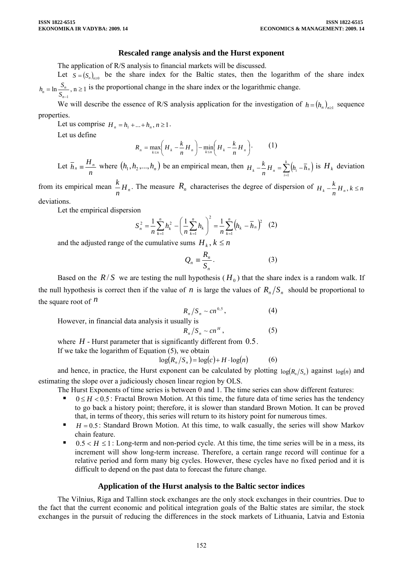# **Rescaled range analysis and the Hurst exponent**

The application of R/S analysis to financial markets will be discussed.

Let  $S = (S_n)_{n \geq 0}$  be the share index for the Baltic states, then the logarithm of the share index  $h_n = \ln \frac{S_n}{S_{n-1}}$ ,  $n \ge 1$  is the proportional change in the share index or the logarithmic change.

1 *n*− We will describe the essence of R/S analysis application for the investigation of  $h = (h_n)_{n \geq 1}$  sequence properties.

Let us comprise  $H_n = h_1 + ... + h_n, n \ge 1$ .

Let us define

$$
R_n = \max_{k \le n} \left( H_k - \frac{k}{n} H_n \right) - \min_{k \le n} \left( H_k - \frac{k}{n} H_n \right). \tag{1}
$$

Let  $\overline{h}_n \equiv \frac{H_n}{n}$  where  $(h_1, h_2, ..., h_n)$  be an empirical mean, then  $H_k - \frac{k}{n} H_n = \sum_{i=1}^k (h_i - \overline{h}_n)$  $-\frac{k}{m}H_{n}=\sum_{i=1}^{k} (h_{i} H_k - \frac{k}{n} H_n = \sum_{i=1}^k (h_i - \overline{h}_n)$ 1 is  $H_k$  deviation

from its empirical mean  $\frac{k}{n}H_n$ . The measure  $R_n$  characterises the degree of dispersion of  $H_k - \frac{k}{n}H_n$ ,  $k \le n$ deviations.

Let the empirical dispersion

$$
S_n^2 = \frac{1}{n} \sum_{k=1}^n h_k^2 - \left(\frac{1}{n} \sum_{k=1}^n h_k\right)^2 = \frac{1}{n} \sum_{k=1}^n \left(h_k - \overline{h}_n\right)^2 \quad (2)
$$

and the adjusted range of the cumulative sums  $H_k$ ,  $k \leq n$ 

$$
Q_n = \frac{R_n}{S_n}.\tag{3}
$$

Based on the  $R/S$  we are testing the null hypothesis ( $H_0$ ) that the share index is a random walk. If the null hypothesis is correct then if the value of *n* is large the values of  $R_n/S_n$  should be proportional to the square root of  $<sup>n</sup>$ </sup>

$$
R_n/S_n \sim cn^{0.5}, \qquad (4)
$$

However, in financial data analysis it usually is

$$
R_n/S_n \sim cn^H, \qquad (5)
$$

where  $H$  - Hurst parameter that is significantly different from  $0.5$ .

If we take the logarithm of Equation (5), we obtain

$$
\log(R_n/S_n) = \log(c) + H \cdot \log(n) \tag{6}
$$

and hence, in practice, the Hurst exponent can be calculated by plotting  $log(R_n/S_n)$  against  $log(n)$  and estimating the slope over a judiciously chosen linear region by OLS.

The Hurst Exponents of time series is between 0 and 1. The time series can show different features:

- $0 \leq H < 0.5$ : Fractal Brown Motion. At this time, the future data of time series has the tendency to go back a history point; therefore, it is slower than standard Brown Motion. It can be proved that, in terms of theory, this series will return to its history point for numerous times.
- $H = 0.5$ : Standard Brown Motion. At this time, to walk casually, the series will show Markov chain feature.
- 0.5 <  $H \le 1$ : Long-term and non-period cycle. At this time, the time series will be in a mess, its increment will show long-term increase. Therefore, a certain range record will continue for a relative period and form many big cycles. However, these cycles have no fixed period and it is difficult to depend on the past data to forecast the future change.

# **Application of the Hurst analysis to the Baltic sector indices**

The Vilnius, Riga and Tallinn stock exchanges are the only stock exchanges in their countries. Due to the fact that the current economic and political integration goals of the Baltic states are similar, the stock exchanges in the pursuit of reducing the differences in the stock markets of Lithuania, Latvia and Estonia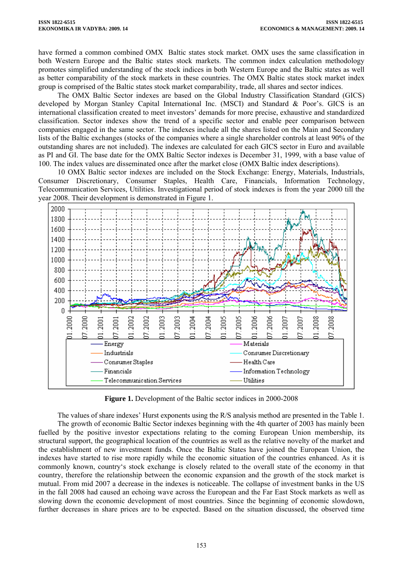have formed a common combined OMX Baltic states stock market. OMX uses the same classification in both Western Europe and the Baltic states stock markets. The common index calculation methodology promotes simplified understanding of the stock indices in both Western Europe and the Baltic states as well as better comparability of the stock markets in these countries. The OMX Baltic states stock market index group is comprised of the Baltic states stock market comparability, trade, all shares and sector indices.

The OMX Baltic Sector indexes are based on the Global Industry Classification Standard (GICS) developed by Morgan Stanley Capital International Inc. (MSCI) and Standard & Poor's. GICS is an international classification created to meet investors' demands for more precise, exhaustive and standardized classification. Sector indexes show the trend of a specific sector and enable peer comparison between companies engaged in the same sector. The indexes include all the shares listed on the Main and Secondary lists of the Baltic exchanges (stocks of the companies where a single shareholder controls at least 90% of the outstanding shares are not included). The indexes are calculated for each GICS sector in Euro and available as PI and GI. The base date for the OMX Baltic Sector indexes is December 31, 1999, with a base value of 100. The index values are disseminated once after the market close (OMX Baltic index descriptions).

10 OMX Baltic sector indexes are included on the Stock Exchange: Energy, Materials, Industrials, Consumer Discretionary, Consumer Staples, Health Care, Financials, Information Technology, Telecommunication Services, Utilities. Investigational period of stock indexes is from the year 2000 till the year 2008. Their development is demonstrated in Figure 1.



**Figure 1.** Development of the Baltic sector indices in 2000-2008

The values of share indexes' Hurst exponents using the R/S analysis method are presented in the Table 1.

The growth of economic Baltic Sector indexes beginning with the 4th quarter of 2003 has mainly been fuelled by the positive investor expectations relating to the coming European Union membership, its structural support, the geographical location of the countries as well as the relative novelty of the market and the establishment of new investment funds. Once the Baltic States have joined the European Union, the indexes have started to rise more rapidly while the economic situation of the countries enhanced. As it is commonly known, country's stock exchange is closely related to the overall state of the economy in that country, therefore the relationship between the economic expansion and the growth of the stock market is mutual. From mid 2007 a decrease in the indexes is noticeable. The collapse of investment banks in the US in the fall 2008 had caused an echoing wave across the European and the Far East Stock markets as well as slowing down the economic development of most countries. Since the beginning of economic slowdown, further decreases in share prices are to be expected. Based on the situation discussed, the observed time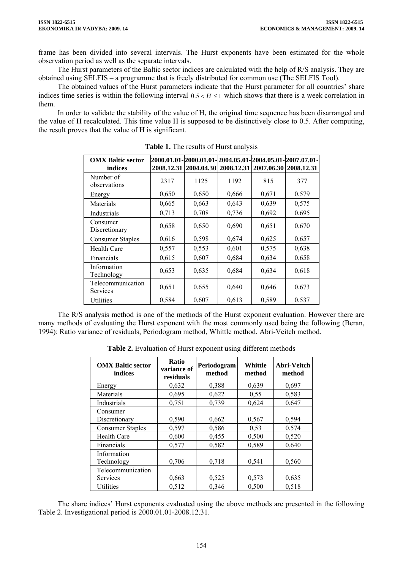frame has been divided into several intervals. The Hurst exponents have been estimated for the whole observation period as well as the separate intervals.

The Hurst parameters of the Baltic sector indices are calculated with the help of R/S analysis. They are obtained using SELFIS – a programme that is freely distributed for common use (The SELFIS Tool).

The obtained values of the Hurst parameters indicate that the Hurst parameter for all countries' share indices time series is within the following interval  $0.5 < H \le 1$  which shows that there is a week correlation in them.

In order to validate the stability of the value of H, the original time sequence has been disarranged and the value of H recalculated. This time value H is supposed to be distinctively close to 0.5. After computing, the result proves that the value of H is significant.

| <b>OMX Baltic sector</b><br>indices |       | 2008.12.31 2004.04.30 2008.12.31 2007.06.30 2008.12.31 |       |       | 2000.01.01-2000.01.01-2004.05.01-2004.05.01-2007.07.01- |
|-------------------------------------|-------|--------------------------------------------------------|-------|-------|---------------------------------------------------------|
| Number of<br>observations           | 2317  | 1125                                                   | 1192  | 815   | 377                                                     |
| Energy                              | 0,650 | 0,650                                                  | 0,666 | 0,671 | 0,579                                                   |
| Materials                           | 0,665 | 0,663                                                  | 0,643 | 0,639 | 0,575                                                   |
| Industrials                         | 0,713 | 0,708                                                  | 0,736 | 0,692 | 0,695                                                   |
| Consumer<br>Discretionary           | 0,658 | 0,650                                                  | 0,690 | 0,651 | 0,670                                                   |
| <b>Consumer Staples</b>             | 0,616 | 0,598                                                  | 0,674 | 0,625 | 0,657                                                   |
| <b>Health Care</b>                  | 0,557 | 0,553                                                  | 0,601 | 0,575 | 0,638                                                   |
| Financials                          | 0,615 | 0,607                                                  | 0,684 | 0,634 | 0,658                                                   |
| Information<br>Technology           | 0,653 | 0,635                                                  | 0,684 | 0,634 | 0,618                                                   |
| Telecommunication<br>Services       | 0,651 | 0,655                                                  | 0,640 | 0,646 | 0,673                                                   |
| Utilities                           | 0,584 | 0,607                                                  | 0,613 | 0,589 | 0,537                                                   |

**Table 1.** The results of Hurst analysis

The R/S analysis method is one of the methods of the Hurst exponent evaluation. However there are many methods of evaluating the Hurst exponent with the most commonly used being the following (Beran, 1994): Ratio variance of residuals, Periodogram method, Whittle method, Abri-Veitch method.

Table 2. Evaluation of Hurst exponent using different methods

| <b>OMX Baltic sector</b><br>indices | Ratio<br>variance of<br>residuals | Periodogram<br>method | Whittle<br>method | Abri-Veitch<br>method |
|-------------------------------------|-----------------------------------|-----------------------|-------------------|-----------------------|
| Energy                              | 0,632                             | 0,388                 | 0,639             | 0,697                 |
| Materials                           | 0,695                             | 0,622                 | 0,55              | 0,583                 |
| Industrials                         | 0,751                             | 0,739                 | 0,624             | 0,647                 |
| Consumer<br>Discretionary           | 0,590                             | 0,662                 | 0,567             | 0,594                 |
| Consumer Staples                    | 0,597                             | 0,586                 | 0,53              | 0,574                 |
| <b>Health Care</b>                  | 0,600                             | 0,455                 | 0,500             | 0,520                 |
| Financials                          | 0,577                             | 0,582                 | 0,589             | 0,640                 |
| Information<br>Technology           | 0,706                             | 0,718                 | 0,541             | 0,560                 |
| Telecommunication                   |                                   |                       |                   |                       |
| Services                            | 0,663                             | 0,525                 | 0,573             | 0,635                 |
| Utilities                           | 0,512                             | 0,346                 | 0,500             | 0,518                 |

The share indices' Hurst exponents evaluated using the above methods are presented in the following Table 2. Investigational period is 2000.01.01-2008.12.31.